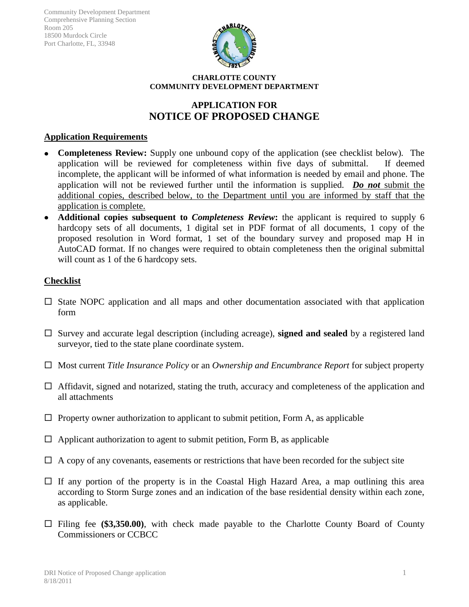

#### **CHARLOTTE COUNTY COMMUNITY DEVELOPMENT DEPARTMENT**

# **APPLICATION FOR NOTICE OF PROPOSED CHANGE**

## **Application Requirements**

- **Completeness Review:** Supply one unbound copy of the application (see checklist below)*.* The application will be reviewed for completeness within five days of submittal. If deemed incomplete, the applicant will be informed of what information is needed by email and phone. The application will not be reviewed further until the information is supplied. *Do not* submit the additional copies, described below, to the Department until you are informed by staff that the application is complete.
- **Additional copies subsequent to** *Completeness Review***:** the applicant is required to supply 6  $\bullet$ hardcopy sets of all documents, 1 digital set in PDF format of all documents, 1 copy of the proposed resolution in Word format, 1 set of the boundary survey and proposed map H in AutoCAD format. If no changes were required to obtain completeness then the original submittal will count as 1 of the 6 hardcopy sets.

## **Checklist**

- $\Box$  State NOPC application and all maps and other documentation associated with that application form
- □ Survey and accurate legal description (including acreage), **signed and sealed** by a registered land surveyor, tied to the state plane coordinate system.
- □ Most current *Title Insurance Policy* or an *Ownership and Encumbrance Report* for subject property
- $\Box$  Affidavit, signed and notarized, stating the truth, accuracy and completeness of the application and all attachments
- $\Box$  Property owner authorization to applicant to submit petition, Form A, as applicable
- $\Box$  Applicant authorization to agent to submit petition, Form B, as applicable
- $\Box$  A copy of any covenants, easements or restrictions that have been recorded for the subject site
- $\Box$  If any portion of the property is in the Coastal High Hazard Area, a map outlining this area according to Storm Surge zones and an indication of the base residential density within each zone, as applicable.
- Filing fee **(\$3,350.00)**, with check made payable to the Charlotte County Board of County Commissioners or CCBCC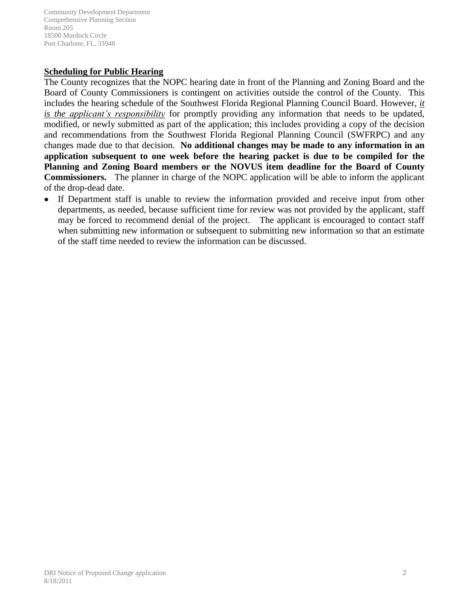## **Scheduling for Public Hearing**

The County recognizes that the NOPC hearing date in front of the Planning and Zoning Board and the Board of County Commissioners is contingent on activities outside the control of the County. This includes the hearing schedule of the Southwest Florida Regional Planning Council Board. However, *it is the applicant's responsibility* for promptly providing any information that needs to be updated, modified, or newly submitted as part of the application; this includes providing a copy of the decision and recommendations from the Southwest Florida Regional Planning Council (SWFRPC) and any changes made due to that decision. **No additional changes may be made to any information in an application subsequent to one week before the hearing packet is due to be compiled for the Planning and Zoning Board members or the NOVUS item deadline for the Board of County Commissioners.** The planner in charge of the NOPC application will be able to inform the applicant of the drop-dead date.

If Department staff is unable to review the information provided and receive input from other departments, as needed, because sufficient time for review was not provided by the applicant, staff may be forced to recommend denial of the project. The applicant is encouraged to contact staff when submitting new information or subsequent to submitting new information so that an estimate of the staff time needed to review the information can be discussed.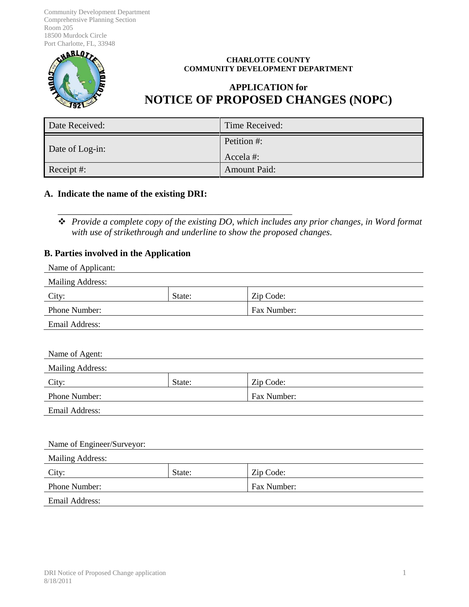

#### **CHARLOTTE COUNTY COMMUNITY DEVELOPMENT DEPARTMENT**

# **APPLICATION for NOTICE OF PROPOSED CHANGES (NOPC)**

| Date Received:  | Time Received:          |
|-----------------|-------------------------|
| Date of Log-in: | Petition #:<br>Accela#: |
| Receipt #:      | <b>Amount Paid:</b>     |

#### **A. Indicate the name of the existing DRI:**

\_\_\_\_\_\_\_\_\_\_\_\_\_\_\_\_\_\_\_\_\_\_\_\_\_\_\_\_\_\_\_\_\_\_\_\_\_\_\_\_\_\_\_\_\_\_\_\_\_\_\_

 *Provide a complete copy of the existing DO, which includes any prior changes, in Word format with use of strikethrough and underline to show the proposed changes.*

## **B. Parties involved in the Application**

| Name of Applicant:           |        |           |  |
|------------------------------|--------|-----------|--|
| <b>Mailing Address:</b>      |        |           |  |
| City:                        | State: | Zip Code: |  |
| Phone Number:<br>Fax Number: |        |           |  |
| Email Address:               |        |           |  |
|                              |        |           |  |
| Name of Agent:               |        |           |  |
| <b>Mailing Address:</b>      |        |           |  |
| City:                        | State: | Zip Code: |  |
| Fax Number:<br>Phone Number: |        |           |  |
| Email Address:               |        |           |  |
|                              |        |           |  |
| Name of Engineer/Surveyor:   |        |           |  |
| <b>Mailing Address:</b>      |        |           |  |
| City:                        | State: | Zip Code: |  |
| Phone Number:<br>Fax Number: |        |           |  |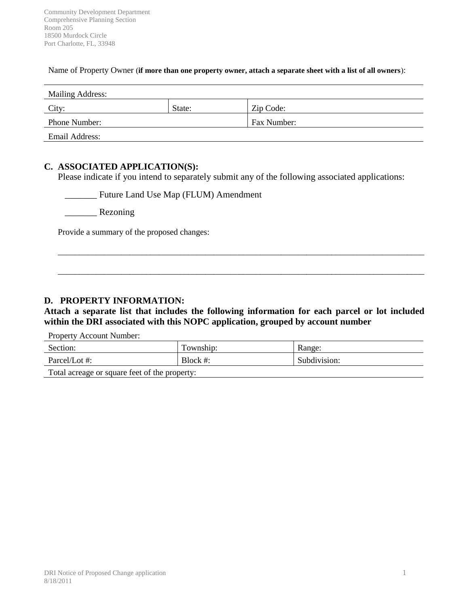#### Name of Property Owner (**if more than one property owner, attach a separate sheet with a list of all owners**):

| <b>Mailing Address:</b> |        |             |
|-------------------------|--------|-------------|
| City:                   | State: | Zip Code:   |
| Phone Number:           |        | Fax Number: |
| Email Address:          |        |             |

## **C. ASSOCIATED APPLICATION(S):**

Please indicate if you intend to separately submit any of the following associated applications:

\_\_\_\_\_\_\_ Future Land Use Map (FLUM) Amendment

\_\_\_\_\_\_\_ Rezoning

Provide a summary of the proposed changes:

## **D. PROPERTY INFORMATION:**

**Attach a separate list that includes the following information for each parcel or lot included within the DRI associated with this NOPC application, grouped by account number**

\_\_\_\_\_\_\_\_\_\_\_\_\_\_\_\_\_\_\_\_\_\_\_\_\_\_\_\_\_\_\_\_\_\_\_\_\_\_\_\_\_\_\_\_\_\_\_\_\_\_\_\_\_\_\_\_\_\_\_\_\_\_\_\_\_\_\_\_\_\_\_\_\_\_\_\_\_\_\_\_\_\_\_\_\_\_\_

\_\_\_\_\_\_\_\_\_\_\_\_\_\_\_\_\_\_\_\_\_\_\_\_\_\_\_\_\_\_\_\_\_\_\_\_\_\_\_\_\_\_\_\_\_\_\_\_\_\_\_\_\_\_\_\_\_\_\_\_\_\_\_\_\_\_\_\_\_\_\_\_\_\_\_\_\_\_\_\_\_\_\_\_\_\_\_

Property Account Number:

| Section:                                      | Township:   | Range:       |
|-----------------------------------------------|-------------|--------------|
| Parcel/Lot #:                                 | Block $#$ : | Subdivision: |
| Total acreage or square feet of the property: |             |              |

DRI Notice of Proposed Change application 1 8/18/2011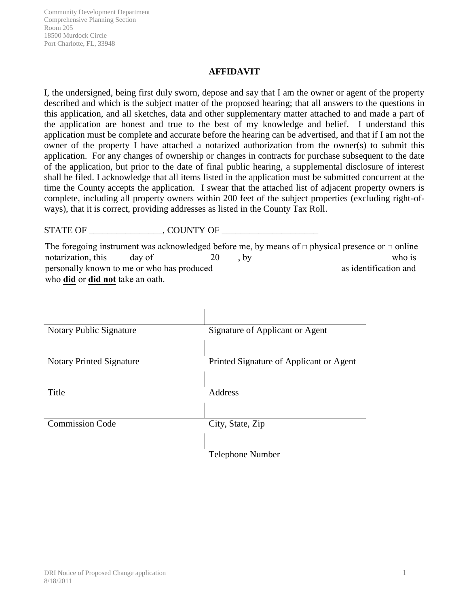## **AFFIDAVIT**

I, the undersigned, being first duly sworn, depose and say that I am the owner or agent of the property described and which is the subject matter of the proposed hearing; that all answers to the questions in this application, and all sketches, data and other supplementary matter attached to and made a part of the application are honest and true to the best of my knowledge and belief. I understand this application must be complete and accurate before the hearing can be advertised, and that if I am not the owner of the property I have attached a notarized authorization from the owner(s) to submit this application. For any changes of ownership or changes in contracts for purchase subsequent to the date of the application, but prior to the date of final public hearing, a supplemental disclosure of interest shall be filed. I acknowledge that all items listed in the application must be submitted concurrent at the time the County accepts the application. I swear that the attached list of adjacent property owners is complete, including all property owners within 200 feet of the subject properties (excluding right-ofways), that it is correct, providing addresses as listed in the County Tax Roll.

STATE OF \_\_\_\_\_\_\_\_\_\_\_\_\_\_\_\_, COUNTY OF \_\_\_\_\_\_\_\_\_\_\_\_\_\_\_\_\_\_\_\_\_

|                                                |  | The foregoing instrument was acknowledged before me, by means of $\Box$ physical presence or $\Box$ online |
|------------------------------------------------|--|------------------------------------------------------------------------------------------------------------|
| notarization, this day of                      |  | who is                                                                                                     |
| personally known to me or who has produced     |  | as identification and                                                                                      |
| who <b>did</b> or <b>did not</b> take an oath. |  |                                                                                                            |

| Notary Public Signature         | Signature of Applicant or Agent         |
|---------------------------------|-----------------------------------------|
|                                 |                                         |
|                                 |                                         |
| <b>Notary Printed Signature</b> | Printed Signature of Applicant or Agent |
|                                 |                                         |
|                                 |                                         |
| <b>Title</b>                    | Address                                 |
|                                 |                                         |
|                                 |                                         |
| <b>Commission Code</b>          | City, State, Zip                        |
|                                 |                                         |
|                                 |                                         |
|                                 | <b>Telephone Number</b>                 |

 $\mathbf{I}$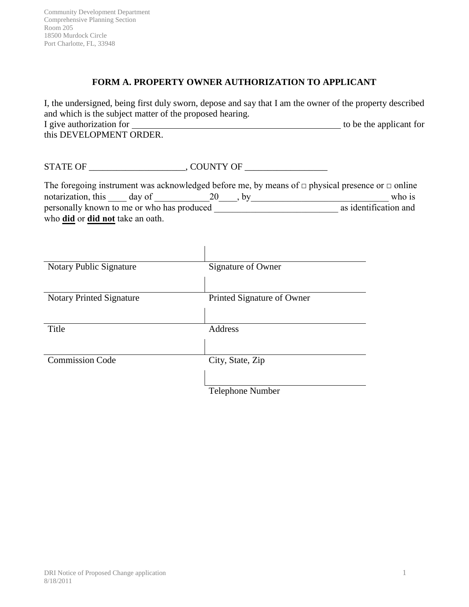## **FORM A. PROPERTY OWNER AUTHORIZATION TO APPLICANT**

I, the undersigned, being first duly sworn, depose and say that I am the owner of the property described and which is the subject matter of the proposed hearing. I give authorization for to be the applicant for this DEVELOPMENT ORDER.

STATE OF \_\_\_\_\_\_\_\_\_\_\_\_\_\_\_\_\_\_\_\_\_, COUNTY OF \_\_\_\_\_\_\_\_\_\_\_\_\_\_\_\_\_\_

|                                                |  |  | The foregoing instrument was acknowledged before me, by means of $\Box$ physical presence or $\Box$ online |
|------------------------------------------------|--|--|------------------------------------------------------------------------------------------------------------|
| notarization, this day of                      |  |  | who is                                                                                                     |
| personally known to me or who has produced     |  |  | as identification and                                                                                      |
| who <b>did</b> or <b>did not</b> take an oath. |  |  |                                                                                                            |

| Notary Public Signature         | Signature of Owner         |
|---------------------------------|----------------------------|
| <b>Notary Printed Signature</b> | Printed Signature of Owner |
| Title                           | Address                    |
| <b>Commission Code</b>          | City, State, Zip           |
|                                 | Telephone Number           |